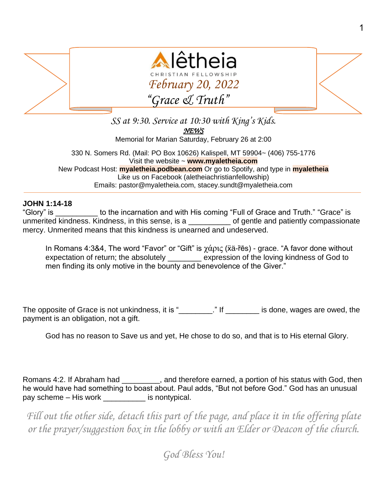

*SS at 9:30. Service at 10:30 with King's Kids. NEWS*  Memorial for Marian Saturday, February 26 at 2:00 330 N. Somers Rd. (Mail: PO Box 10626) Kalispell, MT 59904~ (406) 755-1776 Visit the website ~ **www.myaletheia.com** New Podcast Host: **myaletheia.podbean.com** Or go to Spotify, and type in **myaletheia**

Like us on Facebook (aletheiachristianfellowship) Emails: pastor@myaletheia.com, stacey.sundt@myaletheia.com

## **JOHN 1:14-18**

"Glory" is \_\_\_\_\_\_\_\_\_\_ to the incarnation and with His coming "Full of Grace and Truth." "Grace" is unmerited kindness. Kindness, in this sense, is a \_\_\_\_\_\_\_\_\_\_ of gentle and patiently compassionate mercy. Unmerited means that this kindness is unearned and undeserved.

In Romans 4:3&4, The word "Favor" or "Gift" is χάρις ( $\ddot{\text{xa}}$ -res) - grace. "A favor done without expectation of return; the absolutely \_\_\_\_\_\_\_\_ expression of the loving kindness of God to men finding its only motive in the bounty and benevolence of the Giver."

The opposite of Grace is not unkindness, it is "\_\_\_\_\_\_\_\_\_." If \_\_\_\_\_\_\_\_\_ is done, wages are owed, the payment is an obligation, not a gift.

God has no reason to Save us and yet, He chose to do so, and that is to His eternal Glory.

Romans 4:2. If Abraham had  $\qquad \qquad$ , and therefore earned, a portion of his status with God, then he would have had something to boast about. Paul adds, "But not before God." God has an unusual pay scheme – His work \_\_\_\_\_\_\_\_\_\_ is nontypical.

*Fill out the other side, detach this part of the page, and place it in the offering plate or the prayer/suggestion box in the lobby or with an Elder or Deacon of the church.*

*God Bless You!*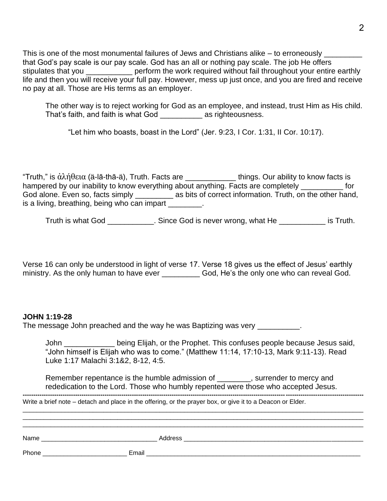This is one of the most monumental failures of Jews and Christians alike – to erroneously that God's pay scale is our pay scale. God has an all or nothing pay scale. The job He offers stipulates that you \_\_\_\_\_\_\_\_\_\_\_\_\_ perform the work required without fail throughout your entire earthly life and then you will receive your full pay. However, mess up just once, and you are fired and receive no pay at all. Those are His terms as an employer.

The other way is to reject working for God as an employee, and instead, trust Him as His child. That's faith, and faith is what God \_\_\_\_\_\_\_\_\_\_ as righteousness.

"Let him who boasts, boast in the Lord" (Jer. 9:23, I Cor. 1:31, II Cor. 10:17).

"Truth," is ἀλήθεια (ä-lā-thā-ä), Truth. Facts are \_\_\_\_\_\_\_\_\_\_\_\_\_\_\_ things. Our ability to know facts is hampered by our inability to know everything about anything. Facts are completely \_\_\_\_\_\_\_\_\_\_ for God alone. Even so, facts simply \_\_\_\_\_\_\_\_\_\_ as bits of correct information. Truth, on the other hand, is a living, breathing, being who can impart \_\_\_\_\_\_\_\_.

Truth is what God \_\_\_\_\_\_\_\_\_\_\_. Since God is never wrong, what He \_\_\_\_\_\_\_\_\_\_\_ is Truth.

Verse 16 can only be understood in light of verse 17. Verse 18 gives us the effect of Jesus' earthly ministry. As the only human to have ever God, He's the only one who can reveal God.

## **JOHN 1:19-28**

The message John preached and the way he was Baptizing was very \_\_\_\_\_\_\_\_\_\_.

John \_\_\_\_\_\_\_\_\_\_\_\_ being Elijah, or the Prophet. This confuses people because Jesus said, "John himself is Elijah who was to come." (Matthew 11:14, 17:10-13, Mark 9:11-13). Read Luke 1:17 Malachi 3:1&2, 8-12, 4:5.

Remember repentance is the humble admission of \_\_\_\_\_\_\_, surrender to mercy and rededication to the Lord. Those who humbly repented were those who accepted Jesus. **------------------------------------------------------------------------------------------------------------------------------------------------------------------**

 $\Box$ \_\_\_\_\_\_\_\_\_\_\_\_\_\_\_\_\_\_\_\_\_\_\_\_\_\_\_\_\_\_\_\_\_\_\_\_\_\_\_\_\_\_\_\_\_\_\_\_\_\_\_\_\_\_\_\_\_\_\_\_\_\_\_\_\_\_\_\_\_\_\_\_\_\_\_\_\_\_\_\_\_\_\_\_\_\_\_\_\_\_\_\_\_\_\_\_\_  $\Box$ 

Write a brief note – detach and place in the offering, or the prayer box, or give it to a Deacon or Elder.

| Name  | Address |
|-------|---------|
| Phone | Email   |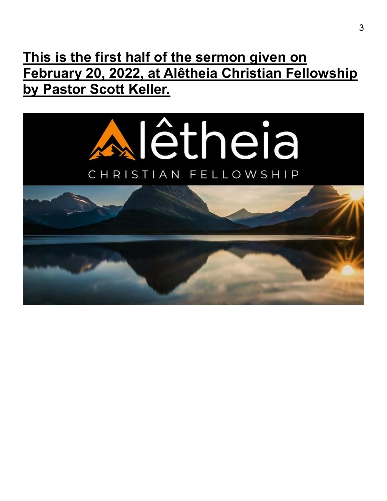## **This is the first half of the sermon given on February 20, 2022, at Alêtheia Christian Fellowship by Pastor Scott Keller.**

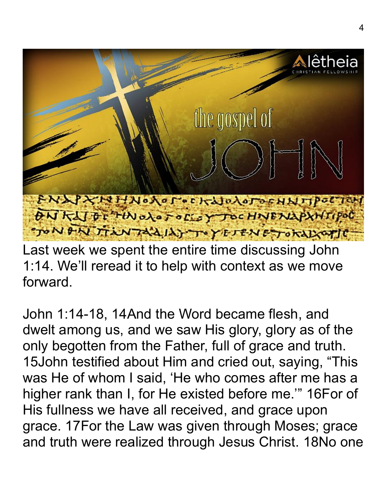

Last week we spent the entire time discussing John 1:14. We'll reread it to help with context as we move forward.

John 1:14-18, 14And the Word became flesh, and dwelt among us, and we saw His glory, glory as of the only begotten from the Father, full of grace and truth. 15John testified about Him and cried out, saying, "This was He of whom I said, 'He who comes after me has a higher rank than I, for He existed before me.'" 16For of His fullness we have all received, and grace upon grace. 17For the Law was given through Moses; grace and truth were realized through Jesus Christ. 18No one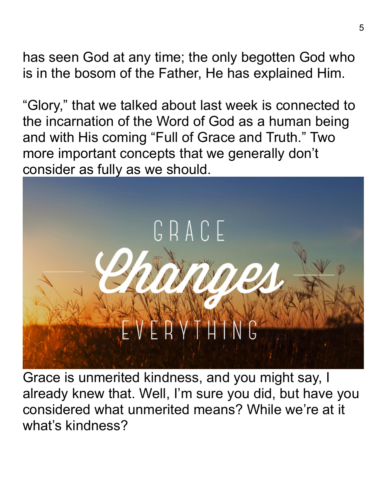has seen God at any time; the only begotten God who is in the bosom of the Father, He has explained Him.

"Glory," that we talked about last week is connected to the incarnation of the Word of God as a human being and with His coming "Full of Grace and Truth." Two more important concepts that we generally don't consider as fully as we should.



Grace is unmerited kindness, and you might say, I already knew that. Well, I'm sure you did, but have you considered what unmerited means? While we're at it what's kindness?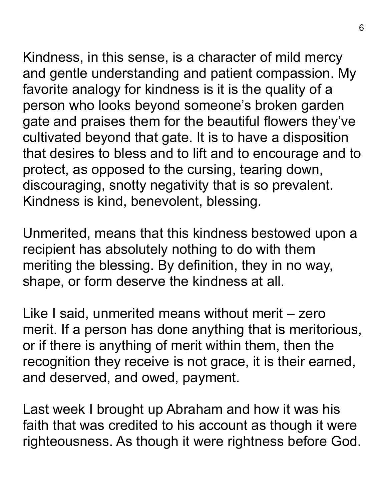Kindness, in this sense, is a character of mild mercy and gentle understanding and patient compassion. My favorite analogy for kindness is it is the quality of a person who looks beyond someone's broken garden gate and praises them for the beautiful flowers they've cultivated beyond that gate. It is to have a disposition that desires to bless and to lift and to encourage and to protect, as opposed to the cursing, tearing down, discouraging, snotty negativity that is so prevalent. Kindness is kind, benevolent, blessing.

Unmerited, means that this kindness bestowed upon a recipient has absolutely nothing to do with them meriting the blessing. By definition, they in no way, shape, or form deserve the kindness at all.

Like I said, unmerited means without merit – zero merit. If a person has done anything that is meritorious, or if there is anything of merit within them, then the recognition they receive is not grace, it is their earned, and deserved, and owed, payment.

Last week I brought up Abraham and how it was his faith that was credited to his account as though it were righteousness. As though it were rightness before God.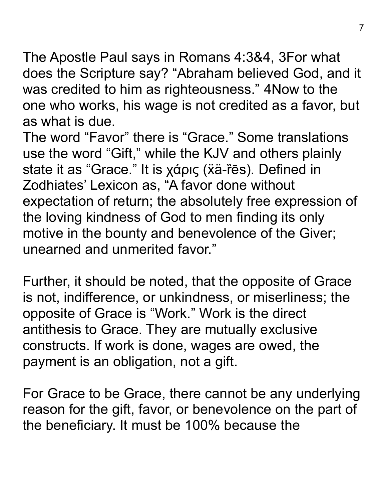The Apostle Paul says in Romans 4:3&4, 3For what does the Scripture say? "Abraham believed God, and it was credited to him as righteousness." 4Now to the one who works, his wage is not credited as a favor, but as what is due.

The word "Favor" there is "Grace." Some translations use the word "Gift," while the KJV and others plainly state it as "Grace." It is χάρις (xä-res). Defined in Zodhiates' Lexicon as, "A favor done without expectation of return; the absolutely free expression of the loving kindness of God to men finding its only motive in the bounty and benevolence of the Giver; unearned and unmerited favor."

Further, it should be noted, that the opposite of Grace is not, indifference, or unkindness, or miserliness; the opposite of Grace is "Work." Work is the direct antithesis to Grace. They are mutually exclusive constructs. If work is done, wages are owed, the payment is an obligation, not a gift.

For Grace to be Grace, there cannot be any underlying reason for the gift, favor, or benevolence on the part of the beneficiary. It must be 100% because the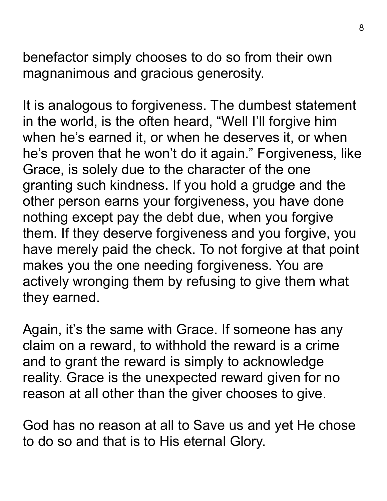benefactor simply chooses to do so from their own magnanimous and gracious generosity.

It is analogous to forgiveness. The dumbest statement in the world, is the often heard, "Well I'll forgive him when he's earned it, or when he deserves it, or when he's proven that he won't do it again." Forgiveness, like Grace, is solely due to the character of the one granting such kindness. If you hold a grudge and the other person earns your forgiveness, you have done nothing except pay the debt due, when you forgive them. If they deserve forgiveness and you forgive, you have merely paid the check. To not forgive at that point makes you the one needing forgiveness. You are actively wronging them by refusing to give them what they earned.

Again, it's the same with Grace. If someone has any claim on a reward, to withhold the reward is a crime and to grant the reward is simply to acknowledge reality. Grace is the unexpected reward given for no reason at all other than the giver chooses to give.

God has no reason at all to Save us and yet He chose to do so and that is to His eternal Glory.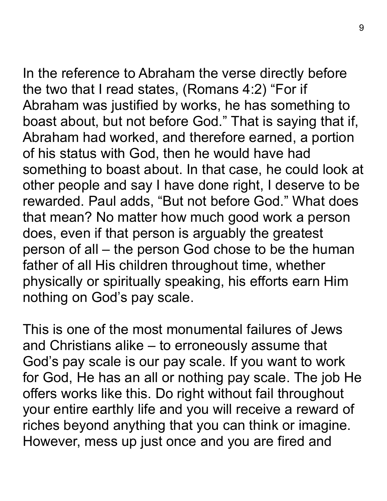In the reference to Abraham the verse directly before the two that I read states, (Romans 4:2) "For if Abraham was justified by works, he has something to boast about, but not before God." That is saying that if, Abraham had worked, and therefore earned, a portion of his status with God, then he would have had something to boast about. In that case, he could look at other people and say I have done right, I deserve to be rewarded. Paul adds, "But not before God." What does that mean? No matter how much good work a person does, even if that person is arguably the greatest person of all – the person God chose to be the human father of all His children throughout time, whether physically or spiritually speaking, his efforts earn Him nothing on God's pay scale.

This is one of the most monumental failures of Jews and Christians alike – to erroneously assume that God's pay scale is our pay scale. If you want to work for God, He has an all or nothing pay scale. The job He offers works like this. Do right without fail throughout your entire earthly life and you will receive a reward of riches beyond anything that you can think or imagine. However, mess up just once and you are fired and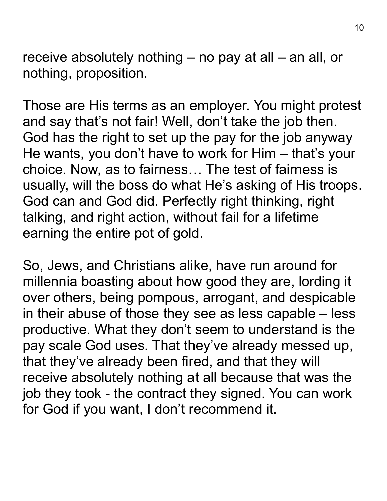receive absolutely nothing – no pay at all – an all, or nothing, proposition.

Those are His terms as an employer. You might protest and say that's not fair! Well, don't take the job then. God has the right to set up the pay for the job anyway He wants, you don't have to work for Him – that's your choice. Now, as to fairness… The test of fairness is usually, will the boss do what He's asking of His troops. God can and God did. Perfectly right thinking, right talking, and right action, without fail for a lifetime earning the entire pot of gold.

So, Jews, and Christians alike, have run around for millennia boasting about how good they are, lording it over others, being pompous, arrogant, and despicable in their abuse of those they see as less capable – less productive. What they don't seem to understand is the pay scale God uses. That they've already messed up, that they've already been fired, and that they will receive absolutely nothing at all because that was the job they took - the contract they signed. You can work for God if you want, I don't recommend it.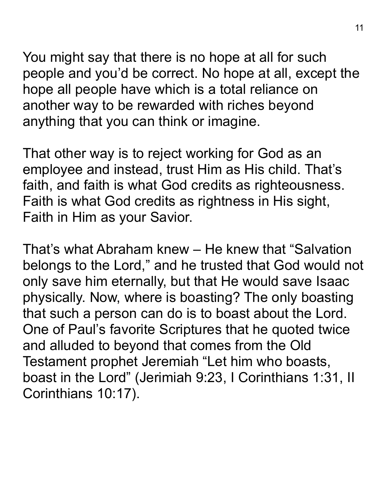You might say that there is no hope at all for such people and you'd be correct. No hope at all, except the hope all people have which is a total reliance on another way to be rewarded with riches beyond anything that you can think or imagine.

That other way is to reject working for God as an employee and instead, trust Him as His child. That's faith, and faith is what God credits as righteousness. Faith is what God credits as rightness in His sight, Faith in Him as your Savior.

That's what Abraham knew – He knew that "Salvation belongs to the Lord," and he trusted that God would not only save him eternally, but that He would save Isaac physically. Now, where is boasting? The only boasting that such a person can do is to boast about the Lord. One of Paul's favorite Scriptures that he quoted twice and alluded to beyond that comes from the Old Testament prophet Jeremiah "Let him who boasts, boast in the Lord" (Jerimiah 9:23, I Corinthians 1:31, II Corinthians 10:17).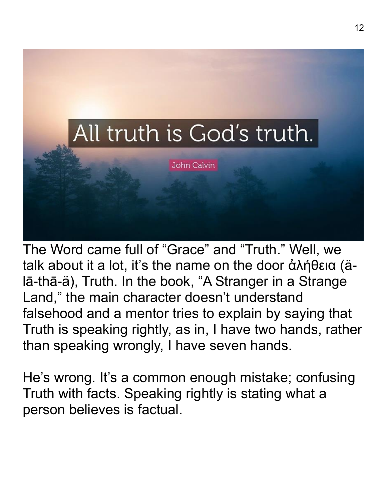

The Word came full of "Grace" and "Truth." Well, we talk about it a lot, it's the name on the door ἀλήθεια (älā-thā-ä), Truth. In the book, "A Stranger in a Strange Land," the main character doesn't understand falsehood and a mentor tries to explain by saying that Truth is speaking rightly, as in, I have two hands, rather than speaking wrongly, I have seven hands.

He's wrong. It's a common enough mistake; confusing Truth with facts. Speaking rightly is stating what a person believes is factual.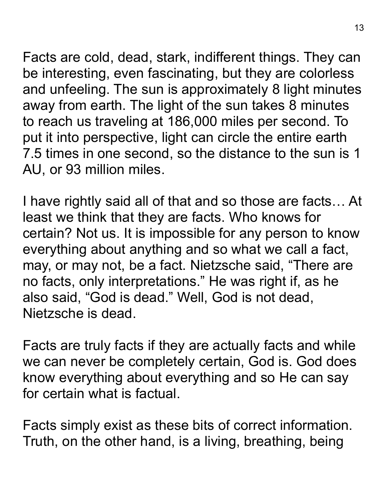Facts are cold, dead, stark, indifferent things. They can be interesting, even fascinating, but they are colorless and unfeeling. The sun is approximately 8 light minutes away from earth. The light of the sun takes 8 minutes to reach us traveling at 186,000 miles per second. To put it into perspective, light can circle the entire earth 7.5 times in one second, so the distance to the sun is 1

AU, or 93 million miles.

I have rightly said all of that and so those are facts… At least we think that they are facts. Who knows for certain? Not us. It is impossible for any person to know everything about anything and so what we call a fact, may, or may not, be a fact. Nietzsche said, "There are no facts, only interpretations." He was right if, as he also said, "God is dead." Well, God is not dead, Nietzsche is dead.

Facts are truly facts if they are actually facts and while we can never be completely certain, God is. God does know everything about everything and so He can say for certain what is factual.

Facts simply exist as these bits of correct information. Truth, on the other hand, is a living, breathing, being